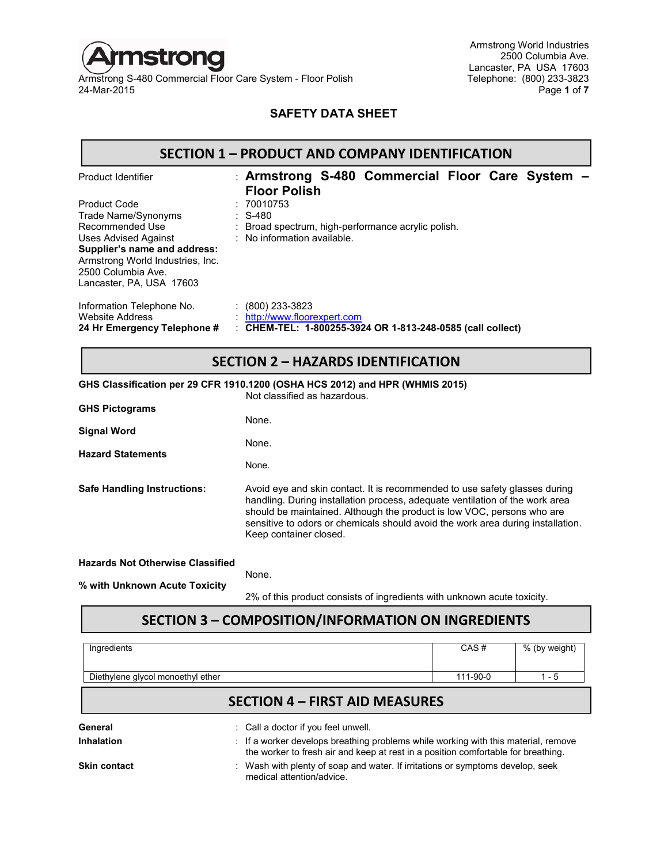

Armstrong S-480 Commercial Floor Care System - Floor Polish<br>24-Mar-2015

Armstrong World Industries 2500 Columbia Ave. Lancaster, PA USA 17603<br>Telephone: (800) 233-3823 24-Mar-2015 Page **1** of **7**

## **SAFETY DATA SHEET**

#### **SECTION 1 – PRODUCT AND COMPANY IDENTIFICATION**

| Product Identifier                                                                 | : Armstrong S-480 Commercial Floor Care System -<br><b>Floor Polish</b>                                             |
|------------------------------------------------------------------------------------|---------------------------------------------------------------------------------------------------------------------|
| <b>Product Code</b>                                                                | : 70010753                                                                                                          |
| Trade Name/Synonyms                                                                | $\therefore$ S-480                                                                                                  |
| Recommended Use                                                                    | : Broad spectrum, high-performance acrylic polish.                                                                  |
| Uses Advised Against                                                               | : No information available.                                                                                         |
| Supplier's name and address:                                                       |                                                                                                                     |
| Armstrong World Industries, Inc.                                                   |                                                                                                                     |
| 2500 Columbia Ave.                                                                 |                                                                                                                     |
| Lancaster, PA, USA 17603                                                           |                                                                                                                     |
| Information Telephone No.<br><b>Website Address</b><br>24 Hr Emergency Telephone # | $\colon$ (800) 233-3823<br>http://www.floorexpert.com<br>: CHEM-TEL: 1-800255-3924 OR 1-813-248-0585 (call collect) |
|                                                                                    |                                                                                                                     |

## **SECTION 2 – HAZARDS IDENTIFICATION**

**GHS Classification per 29 CFR 1910.1200 (OSHA HCS 2012) and HPR (WHMIS 2015)**

Not classified as hazardous.

| <b>GHS Pictograms</b>                                                    |                                                                                                                                                                                                                                                                                                                                                   |
|--------------------------------------------------------------------------|---------------------------------------------------------------------------------------------------------------------------------------------------------------------------------------------------------------------------------------------------------------------------------------------------------------------------------------------------|
| <b>Signal Word</b>                                                       | None.                                                                                                                                                                                                                                                                                                                                             |
| <b>Hazard Statements</b>                                                 | None.<br>None.                                                                                                                                                                                                                                                                                                                                    |
| <b>Safe Handling Instructions:</b>                                       | Avoid eye and skin contact. It is recommended to use safety glasses during<br>handling. During installation process, adequate ventilation of the work area<br>should be maintained. Although the product is low VOC, persons who are<br>sensitive to odors or chemicals should avoid the work area during installation.<br>Keep container closed. |
| <b>Hazards Not Otherwise Classified</b><br>% with Unknown Acute Toxicity | None.<br>2% of this product consists of ingredients with unknown acute toxicity.                                                                                                                                                                                                                                                                  |

## **SECTION 3 – COMPOSITION/INFORMATION ON INGREDIENTS**

| Ingredients                       |                                                                                                                                                                         | CAS#     | % (by weight) |
|-----------------------------------|-------------------------------------------------------------------------------------------------------------------------------------------------------------------------|----------|---------------|
| Diethylene glycol monoethyl ether |                                                                                                                                                                         | 111-90-0 | 1 - 5         |
|                                   | <b>SECTION 4 – FIRST AID MEASURES</b>                                                                                                                                   |          |               |
| General                           | : Call a doctor if you feel unwell.                                                                                                                                     |          |               |
| Inhalation                        | : If a worker develops breathing problems while working with this material, remove<br>the worker to fresh air and keep at rest in a position comfortable for breathing. |          |               |
| Skin contact                      | : Wash with plenty of soap and water. If irritations or symptoms develop, seek<br>medical attention/advice                                                              |          |               |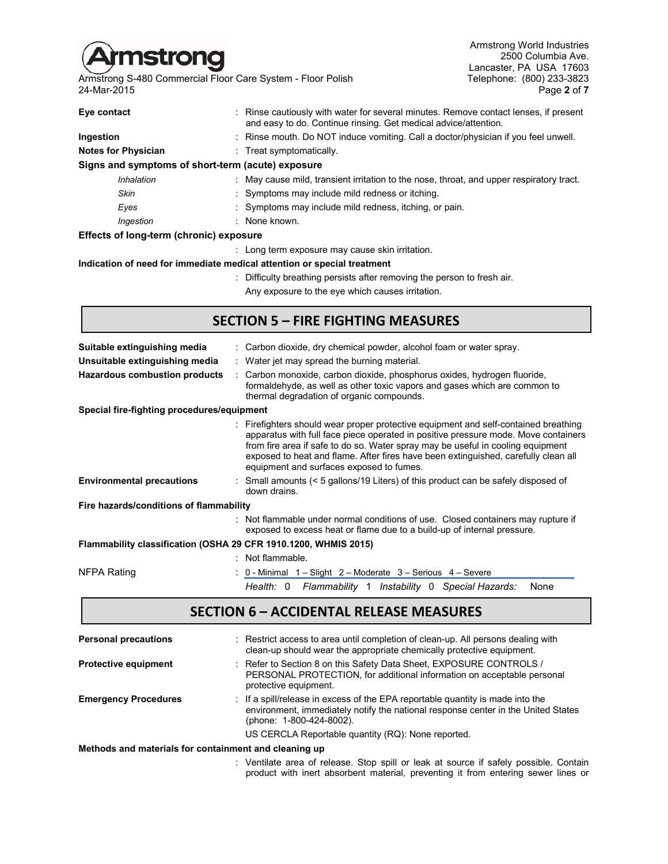

Armstrong S-480 Commercial Floor Care System - Floor Polish Telephone: (800) 233-3823<br>24-Mar-2015 Page 2 of 7 24-Mar-2015 Page **2** of **7**

Armstrong World Industries 2500 Columbia Ave. Lancaster, PA USA 17603<br>Telephone: (800) 233-3823

| Eye contact                                                             | : Rinse cautiously with water for several minutes. Remove contact lenses, if present<br>and easy to do. Continue rinsing. Get medical advice/attention. |
|-------------------------------------------------------------------------|---------------------------------------------------------------------------------------------------------------------------------------------------------|
| Ingestion                                                               | : Rinse mouth. Do NOT induce vomiting. Call a doctor/physician if you feel unwell.                                                                      |
| <b>Notes for Physician</b>                                              | : Treat symptomatically.                                                                                                                                |
| Signs and symptoms of short-term (acute) exposure                       |                                                                                                                                                         |
| Inhalation                                                              | $\pm$ May cause mild, transient irritation to the nose, throat, and upper respiratory tract.                                                            |
| Skin                                                                    | : Symptoms may include mild redness or itching.                                                                                                         |
| Eyes                                                                    | : Symptoms may include mild redness, itching, or pain.                                                                                                  |
| Ingestion                                                               | : None known.                                                                                                                                           |
| Effects of long-term (chronic) exposure                                 |                                                                                                                                                         |
|                                                                         | : Long term exposure may cause skin irritation.                                                                                                         |
| Indication of need for immediate medical attention or special treatment |                                                                                                                                                         |

#### **Indication of need for immediate medical attention or special treatment**

: Difficulty breathing persists after removing the person to fresh air. Any exposure to the eye which causes irritation.

## **SECTION 5 – FIRE FIGHTING MEASURES**

| Suitable extinguishing media                                    | : Carbon dioxide, dry chemical powder, alcohol foam or water spray.                                                                                                                                                                                                                                                                                                                          |  |  |  |  |  |  |
|-----------------------------------------------------------------|----------------------------------------------------------------------------------------------------------------------------------------------------------------------------------------------------------------------------------------------------------------------------------------------------------------------------------------------------------------------------------------------|--|--|--|--|--|--|
| Unsuitable extinguishing media                                  | : Water jet may spread the burning material.                                                                                                                                                                                                                                                                                                                                                 |  |  |  |  |  |  |
| <b>Hazardous combustion products</b>                            | Carbon monoxide, carbon dioxide, phosphorus oxides, hydrogen fluoride,<br>formaldehyde, as well as other toxic vapors and gases which are common to<br>thermal degradation of organic compounds.                                                                                                                                                                                             |  |  |  |  |  |  |
| Special fire-fighting procedures/equipment                      |                                                                                                                                                                                                                                                                                                                                                                                              |  |  |  |  |  |  |
|                                                                 | Firefighters should wear proper protective equipment and self-contained breathing<br>apparatus with full face piece operated in positive pressure mode. Move containers<br>from fire area if safe to do so. Water spray may be useful in cooling equipment<br>exposed to heat and flame. After fires have been extinguished, carefully clean all<br>equipment and surfaces exposed to fumes. |  |  |  |  |  |  |
| <b>Environmental precautions</b>                                | : Small amounts (< 5 gallons/19 Liters) of this product can be safely disposed of<br>down drains.                                                                                                                                                                                                                                                                                            |  |  |  |  |  |  |
| Fire hazards/conditions of flammability                         |                                                                                                                                                                                                                                                                                                                                                                                              |  |  |  |  |  |  |
|                                                                 | : Not flammable under normal conditions of use. Closed containers may rupture if<br>exposed to excess heat or flame due to a build-up of internal pressure.                                                                                                                                                                                                                                  |  |  |  |  |  |  |
| Flammability classification (OSHA 29 CFR 1910.1200, WHMIS 2015) |                                                                                                                                                                                                                                                                                                                                                                                              |  |  |  |  |  |  |
|                                                                 | : Not flammable.                                                                                                                                                                                                                                                                                                                                                                             |  |  |  |  |  |  |
| NFPA Rating                                                     | 0 - Minimal 1 – Slight 2 – Moderate 3 – Serious 4 – Severe                                                                                                                                                                                                                                                                                                                                   |  |  |  |  |  |  |
|                                                                 | Health: 0 Flammability 1 Instability 0 Special Hazards:<br>None                                                                                                                                                                                                                                                                                                                              |  |  |  |  |  |  |
|                                                                 | <b>SECTION 6 - ACCIDENTAL RELEASE MEASURES</b>                                                                                                                                                                                                                                                                                                                                               |  |  |  |  |  |  |
| <b>Personal precautions</b>                                     | Restrict access to area until completion of clean-up. All persons dealing with<br>clean-up should wear the appropriate chemically protective equipment.                                                                                                                                                                                                                                      |  |  |  |  |  |  |
| <b>Protective equipment</b>                                     | Refer to Section 8 on this Safety Data Sheet, EXPOSURE CONTROLS /<br>DEDCONAL DDOTECTION for additional information on accontable personal                                                                                                                                                                                                                                                   |  |  |  |  |  |  |

- PERSONAL PROTECTION, for additional information on acceptable personal protective equipment. **Emergency Procedures** : If a spill/release in excess of the EPA reportable quantity is made into the
	- environment, immediately notify the national response center in the United States (phone: 1-800-424-8002).

US CERCLA Reportable quantity (RQ): None reported.

#### **Methods and materials for containment and cleaning up**

: Ventilate area of release. Stop spill or leak at source if safely possible. Contain product with inert absorbent material, preventing it from entering sewer lines or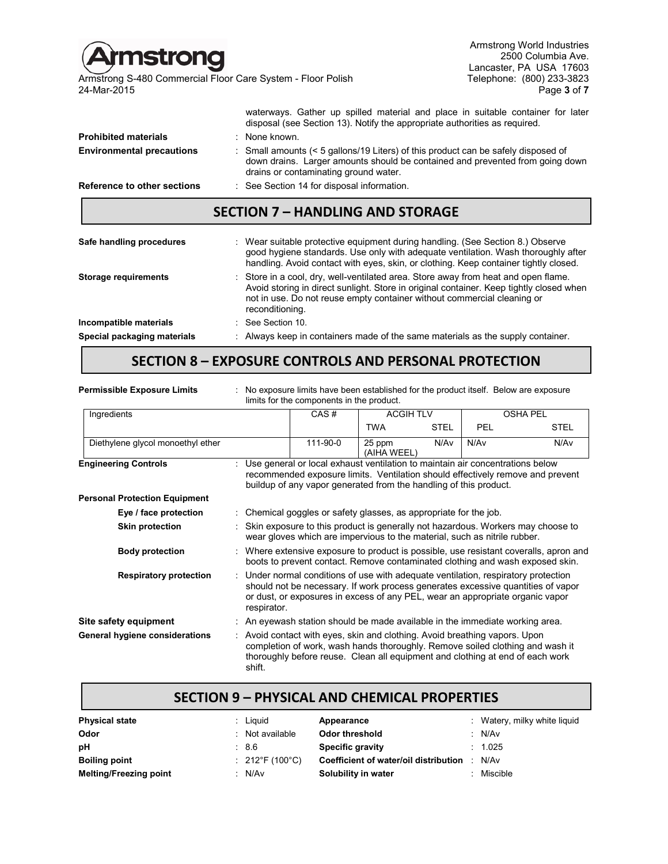| <b>Amstrong</b><br>24-Mar-2015   | Armstrong S-480 Commercial Floor Care System - Floor Polish                                                                                 | Armstrong World Industries<br>2500 Columbia Ave.<br>Lancaster, PA USA 17603<br>Telephone: (800) 233-3823<br>Page 3 of 7 |
|----------------------------------|---------------------------------------------------------------------------------------------------------------------------------------------|-------------------------------------------------------------------------------------------------------------------------|
|                                  | disposal (see Section 13). Notify the appropriate authorities as required.                                                                  | waterways. Gather up spilled material and place in suitable container for later                                         |
| <b>Prohibited materials</b>      | : None known.                                                                                                                               |                                                                                                                         |
| <b>Environmental precautions</b> | $\therefore$ Small amounts ( $\leq$ 5 gallons/19 Liters) of this product can be safely disposed of<br>drains or contaminating ground water. | down drains. Larger amounts should be contained and prevented from going down                                           |
| Reference to other sections      | : See Section 14 for disposal information.                                                                                                  |                                                                                                                         |
|                                  | <b>SECTION 7 - HANDLING AND STORAGE</b>                                                                                                     |                                                                                                                         |

| Safe handling procedures    | : Wear suitable protective equipment during handling. (See Section 8.) Observe<br>good hygiene standards. Use only with adequate ventilation. Wash thoroughly after<br>handling. Avoid contact with eyes, skin, or clothing. Keep container tightly closed.                 |
|-----------------------------|-----------------------------------------------------------------------------------------------------------------------------------------------------------------------------------------------------------------------------------------------------------------------------|
| <b>Storage requirements</b> | : Store in a cool, dry, well-ventilated area. Store away from heat and open flame.<br>Avoid storing in direct sunlight. Store in original container. Keep tightly closed when<br>not in use. Do not reuse empty container without commercial cleaning or<br>reconditioning. |
| Incompatible materials      | $\therefore$ See Section 10.                                                                                                                                                                                                                                                |
| Special packaging materials | : Always keep in containers made of the same materials as the supply container.                                                                                                                                                                                             |

# **SECTION 8 – EXPOSURE CONTROLS AND PERSONAL PROTECTION**

| <b>Permissible Exposure Limits</b>   | No exposure limits have been established for the product itself. Below are exposure<br>limits for the components in the product.                                                                                                                                     |                                                                            |                       |             |            |                 |
|--------------------------------------|----------------------------------------------------------------------------------------------------------------------------------------------------------------------------------------------------------------------------------------------------------------------|----------------------------------------------------------------------------|-----------------------|-------------|------------|-----------------|
| Ingredients                          |                                                                                                                                                                                                                                                                      | CAS#                                                                       | <b>ACGIH TLV</b>      |             |            | <b>OSHA PEL</b> |
|                                      |                                                                                                                                                                                                                                                                      |                                                                            | <b>TWA</b>            | <b>STEL</b> | <b>PEL</b> | <b>STEL</b>     |
| Diethylene glycol monoethyl ether    |                                                                                                                                                                                                                                                                      | 111-90-0                                                                   | 25 ppm<br>(AIHA WEEL) | N/Av        | N/Av       | N/Av            |
| <b>Engineering Controls</b>          | Use general or local exhaust ventilation to maintain air concentrations below<br>recommended exposure limits. Ventilation should effectively remove and prevent<br>buildup of any vapor generated from the handling of this product.                                 |                                                                            |                       |             |            |                 |
| <b>Personal Protection Equipment</b> |                                                                                                                                                                                                                                                                      |                                                                            |                       |             |            |                 |
| Eye / face protection                |                                                                                                                                                                                                                                                                      | Chemical goggles or safety glasses, as appropriate for the job.            |                       |             |            |                 |
| <b>Skin protection</b>               | Skin exposure to this product is generally not hazardous. Workers may choose to<br>wear gloves which are impervious to the material, such as nitrile rubber.                                                                                                         |                                                                            |                       |             |            |                 |
| <b>Body protection</b>               | Where extensive exposure to product is possible, use resistant coveralls, apron and<br>boots to prevent contact. Remove contaminated clothing and wash exposed skin.                                                                                                 |                                                                            |                       |             |            |                 |
| <b>Respiratory protection</b>        | Under normal conditions of use with adequate ventilation, respiratory protection<br>should not be necessary. If work process generates excessive quantities of vapor<br>or dust, or exposures in excess of any PEL, wear an appropriate organic vapor<br>respirator. |                                                                            |                       |             |            |                 |
| Site safety equipment                |                                                                                                                                                                                                                                                                      | An eyewash station should be made available in the immediate working area. |                       |             |            |                 |
| General hygiene considerations       | Avoid contact with eyes, skin and clothing. Avoid breathing vapors. Upon<br>completion of work, wash hands thoroughly. Remove soiled clothing and wash it<br>thoroughly before reuse. Clean all equipment and clothing at end of each work<br>shift.                 |                                                                            |                       |             |            |                 |

## **SECTION 9 – PHYSICAL AND CHEMICAL PROPERTIES**

| <b>Physical state</b>         | Liauid          | Appearance                            | : Watery, milky white liquid |
|-------------------------------|-----------------|---------------------------------------|------------------------------|
| Odor                          | : Not available | Odor threshold                        | : N/Av                       |
| рH                            | :86             | <b>Specific gravity</b>               | : 1.025                      |
| <b>Boiling point</b>          | : 212°F (100°C) | Coefficient of water/oil distribution | N/Av                         |
| <b>Melting/Freezing point</b> | : N/Av          | Solubility in water                   | Miscible                     |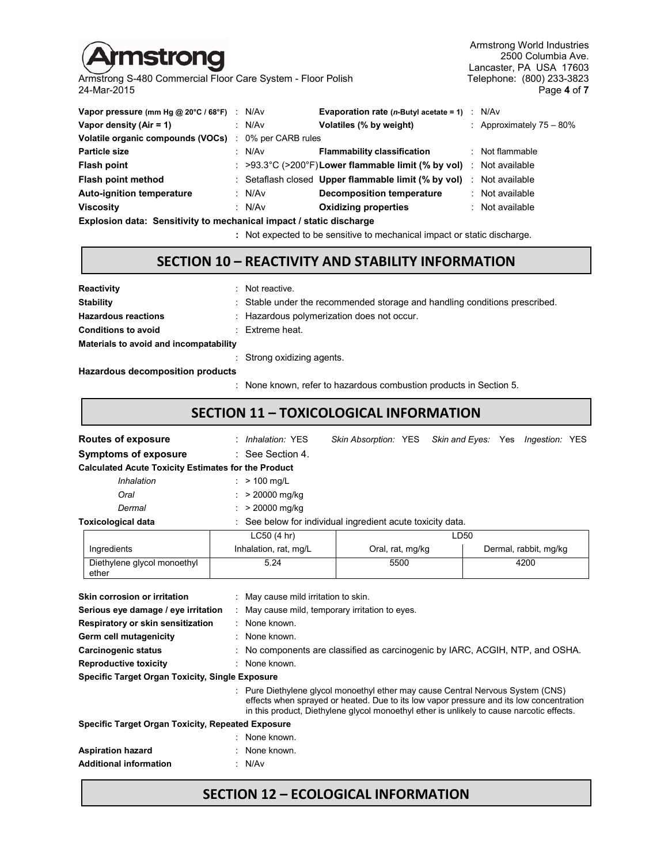# mstrong

Armstrong S-480 Commercial Floor Care System - Floor Polish Telephone: (800) 233-3823<br>24-Mar-2015 Page 4 of 7 24-Mar-2015 Page **4** of **7**

Armstrong World Industries 2500 Columbia Ave. Lancaster, PA USA 17603<br>Telephone: (800) 233-3823

| Vapor pressure (mm Hg $@$ 20 $°C$ / 68 $°F$ ) : | N/Av              | <b>Evaporation rate (n-Butyl acetate = 1)</b> $\therefore$ N/Av                           |                             |
|-------------------------------------------------|-------------------|-------------------------------------------------------------------------------------------|-----------------------------|
| Vapor density $(Air = 1)$                       | : $N/Av$          | Volatiles (% by weight)                                                                   | : Approximately $75 - 80\%$ |
| Volatile organic compounds (VOCs) :             | 0% per CARB rules |                                                                                           |                             |
| <b>Particle size</b>                            | : N/Av            | <b>Flammability classification</b>                                                        | : Not flammable             |
| <b>Flash point</b>                              |                   | $\therefore$ >93.3°C (>200°F) Lower flammable limit (% by vol) $\therefore$ Not available |                             |
| Flash point method                              |                   | : Setaflash closed Upper flammable limit (% by vol)                                       | : Not available             |
| <b>Auto-ignition temperature</b>                | : N/Av            | <b>Decomposition temperature</b>                                                          | : Not available             |
| <b>Viscosity</b>                                | : N/Av            | <b>Oxidizing properties</b>                                                               | : Not available             |
|                                                 |                   |                                                                                           |                             |

**Explosion data: Sensitivity to mechanical impact / static discharge**

**:** Not expected to be sensitive to mechanical impact or static discharge.

#### **SECTION 10 – REACTIVITY AND STABILITY INFORMATION**

| Reactivity                             | : Not reactive.                                                            |
|----------------------------------------|----------------------------------------------------------------------------|
| <b>Stability</b>                       | : Stable under the recommended storage and handling conditions prescribed. |
| <b>Hazardous reactions</b>             | : Hazardous polymerization does not occur.                                 |
| <b>Conditions to avoid</b>             | $:$ Extreme heat.                                                          |
| Materials to avoid and incompatability |                                                                            |
|                                        | : Strong oxidizing agents.                                                 |

#### **Hazardous decomposition products**

: None known, refer to hazardous combustion products in Section 5.

## **SECTION 11 – TOXICOLOGICAL INFORMATION**

| <b>Routes of exposure</b>                                  | <i>Inhalation:</i> YES                                     |                  |      | Skin Absorption: YES Skin and Eyes: Yes Ingestion: YES |
|------------------------------------------------------------|------------------------------------------------------------|------------------|------|--------------------------------------------------------|
| <b>Symptoms of exposure</b>                                | $\therefore$ See Section 4.                                |                  |      |                                                        |
| <b>Calculated Acute Toxicity Estimates for the Product</b> |                                                            |                  |      |                                                        |
| Inhalation                                                 | $>$ 100 mg/L                                               |                  |      |                                                        |
| Oral                                                       | > 20000 mg/kg                                              |                  |      |                                                        |
| Dermal                                                     | $: > 20000$ mg/kg                                          |                  |      |                                                        |
| <b>Toxicological data</b>                                  | : See below for individual ingredient acute toxicity data. |                  |      |                                                        |
|                                                            | LC50(4 hr)                                                 |                  | LD50 |                                                        |
| Ingredients                                                | Inhalation, rat, mg/L                                      | Oral, rat, mg/kg |      | Dermal, rabbit, mg/kg                                  |
| Diethylene glycol monoethyl<br>ether                       | 5.24                                                       | 5500             |      | 4200                                                   |

| Skin corrosion or irritation                             | : May cause mild irritation to skin.                                                                                                                                                                                                                                  |
|----------------------------------------------------------|-----------------------------------------------------------------------------------------------------------------------------------------------------------------------------------------------------------------------------------------------------------------------|
| Serious eye damage / eye irritation                      | May cause mild, temporary irritation to eyes.                                                                                                                                                                                                                         |
| Respiratory or skin sensitization                        | $:$ None known.                                                                                                                                                                                                                                                       |
| Germ cell mutagenicity                                   | : None known.                                                                                                                                                                                                                                                         |
| Carcinogenic status                                      | No components are classified as carcinogenic by IARC, ACGIH, NTP, and OSHA.                                                                                                                                                                                           |
| <b>Reproductive toxicity</b>                             | : None known.                                                                                                                                                                                                                                                         |
| <b>Specific Target Organ Toxicity, Single Exposure</b>   |                                                                                                                                                                                                                                                                       |
|                                                          | Pure Diethylene glycol monoethyl ether may cause Central Nervous System (CNS)<br>effects when sprayed or heated. Due to its low vapor pressure and its low concentration<br>in this product, Diethylene glycol monoethyl ether is unlikely to cause narcotic effects. |
| <b>Specific Target Organ Toxicity, Repeated Exposure</b> |                                                                                                                                                                                                                                                                       |
|                                                          | : None known.                                                                                                                                                                                                                                                         |
| <b>Aspiration hazard</b>                                 | None known.                                                                                                                                                                                                                                                           |
| <b>Additional information</b>                            | : N/Av                                                                                                                                                                                                                                                                |

## **SECTION 12 – ECOLOGICAL INFORMATION**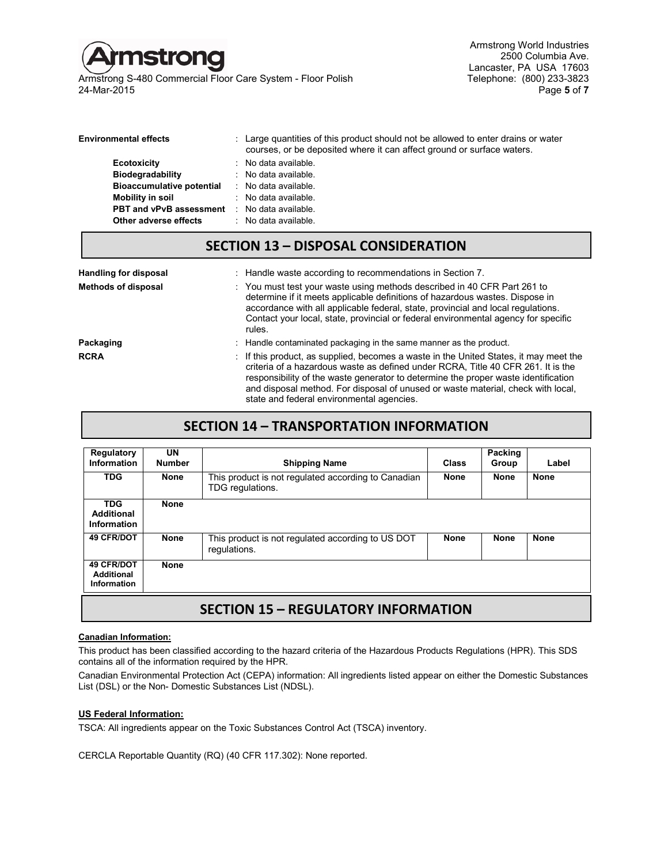

Armstrong S-480 Commercial Floor Care System - Floor Polish<br>24-Mar-2015 24-Mar-2015 Page **5** of **7**

Armstrong World Industries 2500 Columbia Ave. Lancaster, PA USA 17603<br>Telephone: (800) 233-3823

| <b>Environmental effects</b>     | : Large quantities of this product should not be allowed to enter drains or water<br>courses, or be deposited where it can affect ground or surface waters. |
|----------------------------------|-------------------------------------------------------------------------------------------------------------------------------------------------------------|
| <b>Ecotoxicity</b>               | : No data available.                                                                                                                                        |
| <b>Biodegradability</b>          | $\therefore$ No data available.                                                                                                                             |
| <b>Bioaccumulative potential</b> | : No data available.                                                                                                                                        |
| Mobility in soil                 | $\therefore$ No data available.                                                                                                                             |
| <b>PBT and vPvB assessment</b>   | : No data available.                                                                                                                                        |
| Other adverse effects            | $\therefore$ No data available.                                                                                                                             |

## **SECTION 13 – DISPOSAL CONSIDERATION**

| <b>Handling for disposal</b><br><b>Methods of disposal</b> | : Handle waste according to recommendations in Section 7.<br>: You must test your waste using methods described in 40 CFR Part 261 to<br>determine if it meets applicable definitions of hazardous wastes. Dispose in<br>accordance with all applicable federal, state, provincial and local regulations.<br>Contact your local, state, provincial or federal environmental agency for specific<br>rules. |  |  |
|------------------------------------------------------------|-----------------------------------------------------------------------------------------------------------------------------------------------------------------------------------------------------------------------------------------------------------------------------------------------------------------------------------------------------------------------------------------------------------|--|--|
| Packaging                                                  | : Handle contaminated packaging in the same manner as the product.                                                                                                                                                                                                                                                                                                                                        |  |  |
| <b>RCRA</b>                                                | . If this product, as supplied, becomes a waste in the United States, it may meet the<br>criteria of a hazardous waste as defined under RCRA. Title 40 CFR 261. It is the<br>responsibility of the waste generator to determine the proper waste identification<br>and disposal method. For disposal of unused or waste material, check with local,<br>state and federal environmental agencies.          |  |  |

## **SECTION 14 – TRANSPORTATION INFORMATION**

| Regulatory<br>Information                             | UN<br><b>Number</b> | <b>Shipping Name</b>                                                    | <b>Class</b> | Packing<br>Group | Label       |
|-------------------------------------------------------|---------------------|-------------------------------------------------------------------------|--------------|------------------|-------------|
| <b>TDG</b>                                            | <b>None</b>         | This product is not regulated according to Canadian<br>TDG regulations. | <b>None</b>  | <b>None</b>      | <b>None</b> |
| <b>TDG</b><br>Additional<br>Information               | <b>None</b>         |                                                                         |              |                  |             |
| <b>49 CFR/DOT</b>                                     | <b>None</b>         | This product is not regulated according to US DOT<br>regulations.       | <b>None</b>  | <b>None</b>      | <b>None</b> |
| <b>49 CFR/DOT</b><br>Additional<br><b>Information</b> | <b>None</b>         |                                                                         |              |                  |             |
| CEATIANI 4 F<br><b>DEALLI ATADV INFADALATIANI</b>     |                     |                                                                         |              |                  |             |

## **SECTION 15 – REGULATORY INFORMATION**

#### **Canadian Information:**

This product has been classified according to the hazard criteria of the Hazardous Products Regulations (HPR). This SDS contains all of the information required by the HPR.

Canadian Environmental Protection Act (CEPA) information: All ingredients listed appear on either the Domestic Substances List (DSL) or the Non- Domestic Substances List (NDSL).

#### **US Federal Information:**

TSCA: All ingredients appear on the Toxic Substances Control Act (TSCA) inventory.

CERCLA Reportable Quantity (RQ) (40 CFR 117.302): None reported.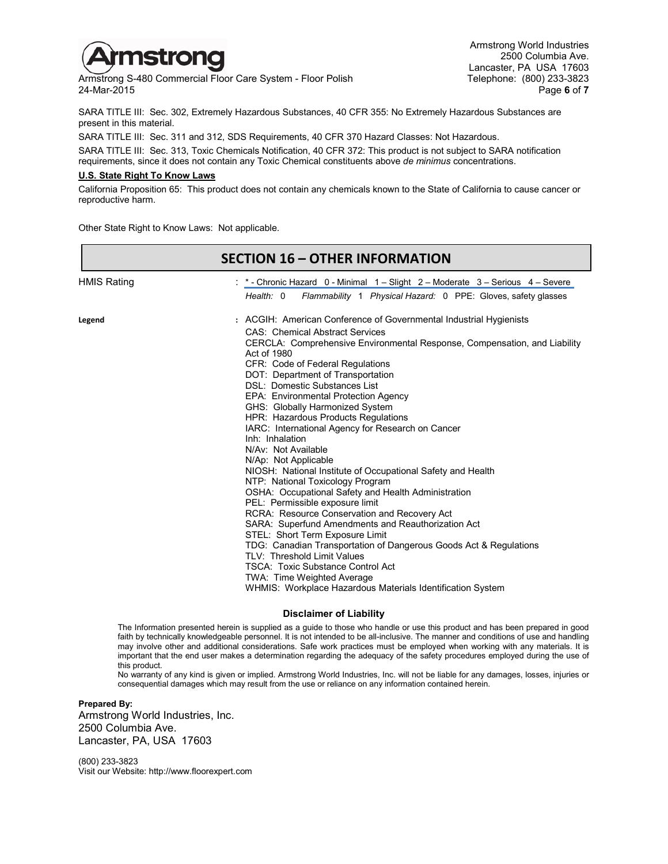

Armstrong S-480 Commercial Floor Care System - Floor Polish<br>24-Mar-2015 24-Mar-2015 Page **6** of **7**

Armstrong World Industries 2500 Columbia Ave. Lancaster, PA USA 17603<br>Telephone: (800) 233-3823

SARA TITLE III: Sec. 302, Extremely Hazardous Substances, 40 CFR 355: No Extremely Hazardous Substances are present in this material.

SARA TITLE III: Sec. 311 and 312, SDS Requirements, 40 CFR 370 Hazard Classes: Not Hazardous.

SARA TITLE III: Sec. 313, Toxic Chemicals Notification, 40 CFR 372: This product is not subject to SARA notification requirements, since it does not contain any Toxic Chemical constituents above *de minimus* concentrations.

#### **U.S. State Right To Know Laws**

California Proposition 65: This product does not contain any chemicals known to the State of California to cause cancer or reproductive harm.

Other State Right to Know Laws: Not applicable.

|             | <b>SECTION 16 - OTHER INFORMATION</b>                                                                                                                                                                                                                                                                                                                                                                                                                                                                                                                                                                                                                                                                                                                                                                                                                                                                                                                                                                                                                                                                                                                |
|-------------|------------------------------------------------------------------------------------------------------------------------------------------------------------------------------------------------------------------------------------------------------------------------------------------------------------------------------------------------------------------------------------------------------------------------------------------------------------------------------------------------------------------------------------------------------------------------------------------------------------------------------------------------------------------------------------------------------------------------------------------------------------------------------------------------------------------------------------------------------------------------------------------------------------------------------------------------------------------------------------------------------------------------------------------------------------------------------------------------------------------------------------------------------|
| HMIS Rating | : * - Chronic Hazard 0 - Minimal 1 – Slight 2 – Moderate 3 – Serious 4 – Severe<br>Health: 0<br>Flammability 1 Physical Hazard: 0 PPE: Gloves, safety glasses                                                                                                                                                                                                                                                                                                                                                                                                                                                                                                                                                                                                                                                                                                                                                                                                                                                                                                                                                                                        |
| Legend      | : ACGIH: American Conference of Governmental Industrial Hygienists<br><b>CAS: Chemical Abstract Services</b><br>CERCLA: Comprehensive Environmental Response, Compensation, and Liability<br>Act of 1980<br>CFR: Code of Federal Regulations<br>DOT: Department of Transportation<br><b>DSL: Domestic Substances List</b><br>EPA: Environmental Protection Agency<br>GHS: Globally Harmonized System<br>HPR: Hazardous Products Regulations<br>IARC: International Agency for Research on Cancer<br>Inh: Inhalation<br>N/Av: Not Available<br>N/Ap: Not Applicable<br>NIOSH: National Institute of Occupational Safety and Health<br>NTP: National Toxicology Program<br>OSHA: Occupational Safety and Health Administration<br>PEL: Permissible exposure limit<br>RCRA: Resource Conservation and Recovery Act<br>SARA: Superfund Amendments and Reauthorization Act<br>STEL: Short Term Exposure Limit<br>TDG: Canadian Transportation of Dangerous Goods Act & Regulations<br>TLV: Threshold Limit Values<br><b>TSCA: Toxic Substance Control Act</b><br>TWA: Time Weighted Average<br>WHMIS: Workplace Hazardous Materials Identification System |

#### **Disclaimer of Liability**

The Information presented herein is supplied as a guide to those who handle or use this product and has been prepared in good faith by technically knowledgeable personnel. It is not intended to be all-inclusive. The manner and conditions of use and handling may involve other and additional considerations. Safe work practices must be employed when working with any materials. It is important that the end user makes a determination regarding the adequacy of the safety procedures employed during the use of this product.

No warranty of any kind is given or implied. Armstrong World Industries, Inc. will not be liable for any damages, losses, injuries or consequential damages which may result from the use or reliance on any information contained herein.

#### **Prepared By:**

Armstrong World Industries, Inc. 2500 Columbia Ave. Lancaster, PA, USA 17603

(800) 233-3823 Visit our Website: http://www.floorexpert.com